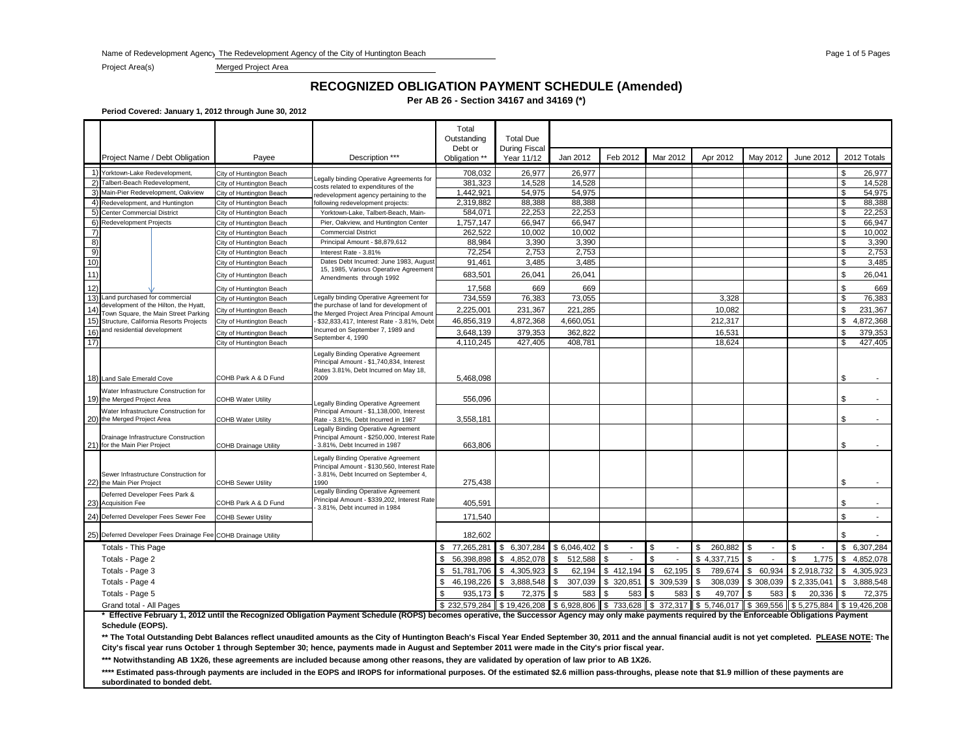Name of Redevelopment Agency The Redevelopment Agency of the City of Huntington Beach Page 1 of 5 Page 1 of 5 Page 1 of 5 Pages

Project Area(s) Merged Project Area

### **RECOGNIZED OBLIGATION PAYMENT SCHEDULE (Amended)**

**Per AB 26 - Section 34167 and 34169 (\*)**

**Period Covered: January 1, 2012 through June 30, 2012**

|      |                                                                                  |                              |                                                                                                                              | Total<br>Outstanding<br>Debt or | <b>Total Due</b><br><b>During Fiscal</b> |               |                                             |                |                 |              |                               |                |              |
|------|----------------------------------------------------------------------------------|------------------------------|------------------------------------------------------------------------------------------------------------------------------|---------------------------------|------------------------------------------|---------------|---------------------------------------------|----------------|-----------------|--------------|-------------------------------|----------------|--------------|
|      | Project Name / Debt Obligation                                                   | Payee                        | Description ***                                                                                                              | Obligation **                   | Year 11/12                               | Jan 2012      | Feb 2012                                    | Mar 2012       | Apr 2012        | May 2012     | June 2012                     |                | 2012 Totals  |
|      | 1) Yorktown-Lake Redevelopment,                                                  | City of Huntington Beach     |                                                                                                                              | 708.032                         | 26.977                                   | 26.977        |                                             |                |                 |              |                               | \$             | 26,977       |
| 2)   | Talbert-Beach Redevelopment,                                                     | City of Huntington Beach     | egally binding Operative Agreements for<br>costs related to expenditures of the                                              | 381.323                         | 14.528                                   | 14.528        |                                             |                |                 |              |                               | \$             | 14,528       |
|      | 3) Main-Pier Redevelopment, Oakview                                              | City of Huntington Beach     | redevelopment agency pertaining to the                                                                                       | 1,442,921                       | 54,975                                   | 54,975        |                                             |                |                 |              |                               | \$             | 54,975       |
| 4)   | Redevelopment, and Huntington                                                    | City of Huntington Beach     | following redevelopment projects:                                                                                            | 2,319,882                       | 88.388                                   | 88.388        |                                             |                |                 |              |                               | \$             | 88,388       |
|      | 5) Center Commercial District                                                    | City of Huntington Beach     | Yorktown-Lake, Talbert-Beach, Main-                                                                                          | 584,071                         | 22,253                                   | 22,253        |                                             |                |                 |              |                               | \$             | 22,253       |
| 6)   | <b>Redevelopment Projects</b>                                                    | City of Huntington Beach     | Pier, Oakview, and Huntington Center                                                                                         | 1,757,147                       | 66.947                                   | 66.947        |                                             |                |                 |              |                               | \$             | 66,947       |
| 7)   |                                                                                  | City of Huntington Beach     | <b>Commercial District</b>                                                                                                   | 262,522                         | 10.002                                   | 10,002        |                                             |                |                 |              |                               | \$             | 10,002       |
| 8)   |                                                                                  | City of Huntington Beach     | Principal Amount - \$8,879,612                                                                                               | 88,984                          | 3,390                                    | 3,390         |                                             |                |                 |              |                               | $\mathsf{\$}$  | 3,390        |
| 9)   |                                                                                  | City of Huntington Beach     | Interest Rate - 3.81%<br>Dates Debt Incurred: June 1983, August                                                              | 72,254                          | 2,753<br>3.485                           | 2,753         |                                             |                |                 |              |                               | \$<br>\$       | 2,753        |
| 10)  |                                                                                  | City of Huntington Beach     | 15, 1985, Various Operative Agreement                                                                                        | 91,461                          |                                          | 3,485         |                                             |                |                 |              |                               |                | 3,485        |
| 11)  |                                                                                  | City of Huntington Beach     | Amendments through 1992                                                                                                      | 683,501                         | 26,041                                   | 26,041        |                                             |                |                 |              |                               | \$             | 26,041       |
| 12)  |                                                                                  | City of Huntington Beach     |                                                                                                                              | 17.568                          | 669                                      | 669           |                                             |                |                 |              |                               | \$             | 669          |
| 13)  | and purchased for commercial                                                     | City of Huntington Beach     | Legally binding Operative Agreement for                                                                                      | 734,559                         | 76,383                                   | 73,055        |                                             |                | 3,328           |              |                               | \$             | 76,383       |
| 14)  | development of the Hilton, the Hyatt,<br>Town Square, the Main Street Parking    | City of Huntington Beach     | the purchase of land for development of<br>the Merged Project Area Principal Amount                                          | 2,225,001                       | 231,367                                  | 221,285       |                                             |                | 10,082          |              |                               | \$             | 231,367      |
| 15)  | Structure, California Resorts Projects                                           | City of Huntington Beach     | \$32,833,417, Interest Rate - 3.81%, Debt                                                                                    | 46,856,319                      | 4,872,368                                | 4,660,051     |                                             |                | 212,317         |              |                               | \$             | 4,872,368    |
| 16)  | and residential development                                                      | City of Huntington Beach     | Incurred on September 7, 1989 and                                                                                            | 3.648.139                       | 379,353                                  | 362.822       |                                             |                | 16,531          |              |                               | \$             | 379,353      |
| 17)  |                                                                                  | City of Huntington Beach     | September 4, 1990                                                                                                            | 4,110,245                       | 427,405                                  | 408,781       |                                             |                | 18,624          |              |                               | \$             | 427,405      |
|      |                                                                                  |                              | Legally Binding Operative Agreement<br>Principal Amount - \$1,740,834, Interest<br>Rates 3.81%, Debt Incurred on May 18,     |                                 |                                          |               |                                             |                |                 |              |                               |                |              |
|      | 18) Land Sale Emerald Cove                                                       | COHB Park A & D Fund         | 2009                                                                                                                         | 5,468,098                       |                                          |               |                                             |                |                 |              |                               | \$             |              |
|      | Water Infrastructure Construction for                                            |                              |                                                                                                                              |                                 |                                          |               |                                             |                |                 |              |                               |                |              |
|      | 19) the Merged Project Area                                                      | <b>COHB Water Utility</b>    | egally Binding Operative Agreement                                                                                           | 556,096                         |                                          |               |                                             |                |                 |              |                               | \$             |              |
|      | Water Infrastructure Construction for<br>20) the Merged Project Area             | <b>COHB Water Utility</b>    | Principal Amount - \$1,138,000, Interest                                                                                     | 3,558,181                       |                                          |               |                                             |                |                 |              |                               | \$             |              |
|      |                                                                                  |                              | Rate - 3.81%, Debt Incurred in 1987<br>Legally Binding Operative Agreement                                                   |                                 |                                          |               |                                             |                |                 |              |                               |                |              |
|      | Drainage Infrastructure Construction<br>21) for the Main Pier Project            | <b>COHB Drainage Utility</b> | Principal Amount - \$250,000, Interest Rate<br>- 3.81%, Debt Incurred in 1987                                                | 663,806                         |                                          |               |                                             |                |                 |              |                               | \$             |              |
|      | Sewer Infrastructure Construction for                                            |                              | Legally Binding Operative Agreement<br>Principal Amount - \$130,560, Interest Rate<br>- 3.81%, Debt Incurred on September 4, |                                 |                                          |               |                                             |                |                 |              |                               |                |              |
| 22)  | the Main Pier Project                                                            | <b>COHB Sewer Utility</b>    | 1990                                                                                                                         | 275,438                         |                                          |               |                                             |                |                 |              |                               | \$             |              |
| 23)  | Deferred Developer Fees Park &<br><b>Acquisition Fee</b>                         | COHB Park A & D Fund         | Legally Binding Operative Agreement<br>Principal Amount - \$339,202, Interest Rate                                           | 405,591                         |                                          |               |                                             |                |                 |              |                               | \$             |              |
| (24) | Deferred Developer Fees Sewer Fee                                                | <b>COHB Sewer Utility</b>    | 3.81%, Debt incurred in 1984                                                                                                 | 171.540                         |                                          |               |                                             |                |                 |              |                               | $\mathfrak{L}$ |              |
| 25)  |                                                                                  |                              |                                                                                                                              |                                 |                                          |               |                                             |                |                 |              |                               | \$             |              |
|      | Deferred Developer Fees Drainage Fee COHB Drainage Utility<br>Totals - This Page |                              |                                                                                                                              | 182,602<br>77,265,281<br>\$.    | 6,307,284<br>S.                          | \$6,046,402   | - \$                                        | \$             | 260,882<br>- \$ | \$           | S<br>$\overline{\phantom{a}}$ | S.             | 6,307,284    |
|      | Totals - Page 2                                                                  |                              |                                                                                                                              | 56,398,898                      | 4,852,078<br>\$                          | \$<br>512,588 | <b>S</b>                                    | $\mathfrak{F}$ | \$4,337,715     | \$           | ፍ<br>1,775                    | S.             | 4,852,078    |
|      | Totals - Page 3                                                                  |                              |                                                                                                                              | 51,781,706<br>\$.               | 4,305,923<br>\$                          | 62,194        | \$412,194                                   | 62,195<br>\$   | 789,674<br>\$   | 60,934<br>\$ | \$2,918,732                   | \$             | 4,305,923    |
|      |                                                                                  |                              |                                                                                                                              |                                 |                                          |               |                                             |                |                 |              |                               |                |              |
|      | Totals - Page 4                                                                  |                              |                                                                                                                              | 46,198,226<br>\$                | \$<br>3,888,548                          | \$<br>307,039 | \$ 320,851                                  | 309,539<br>\$  | 308,039<br>- \$ | \$308,039    | \$2,335,041                   | \$             | 3,888,548    |
|      | Totals - Page 5                                                                  |                              |                                                                                                                              | 935,173                         | 72,375<br>\$.                            | 583           | 583<br>- \$                                 | 583<br>\$      | 49,707<br>- \$  | \$<br>583    | 20,336<br>S                   | \$             | 72,375       |
|      | Grand total - All Pages                                                          |                              |                                                                                                                              | \$232,579,284                   | \$19,426,208 \$6,928,806                 |               | $\frac{1}{3}$ 733,628 $\frac{1}{3}$ 372,317 |                | \$5,746,017     | \$369,556    | \$5,275,884                   |                | \$19,426,208 |

**\* Effective February 1, 2012 until the Recognized Obligation Payment Schedule (ROPS) becomes operative, the Successor Agency may only make payments required by the Enforceable Obligations Payment Schedule (EOPS).** 

\*\* The Total Outstanding Debt Balances reflect unaudited amounts as the City of Huntington Beach's Fiscal Year Ended September 30, 2011 and the annual financial audit is not yet completed. PLEASE NOTE: The **City's fiscal year runs October 1 through September 30; hence, payments made in August and September 2011 were made in the City's prior fiscal year.**

**\*\*\* Notwithstanding AB 1X26, these agreements are included because among other reasons, they are validated by operation of law prior to AB 1X26.**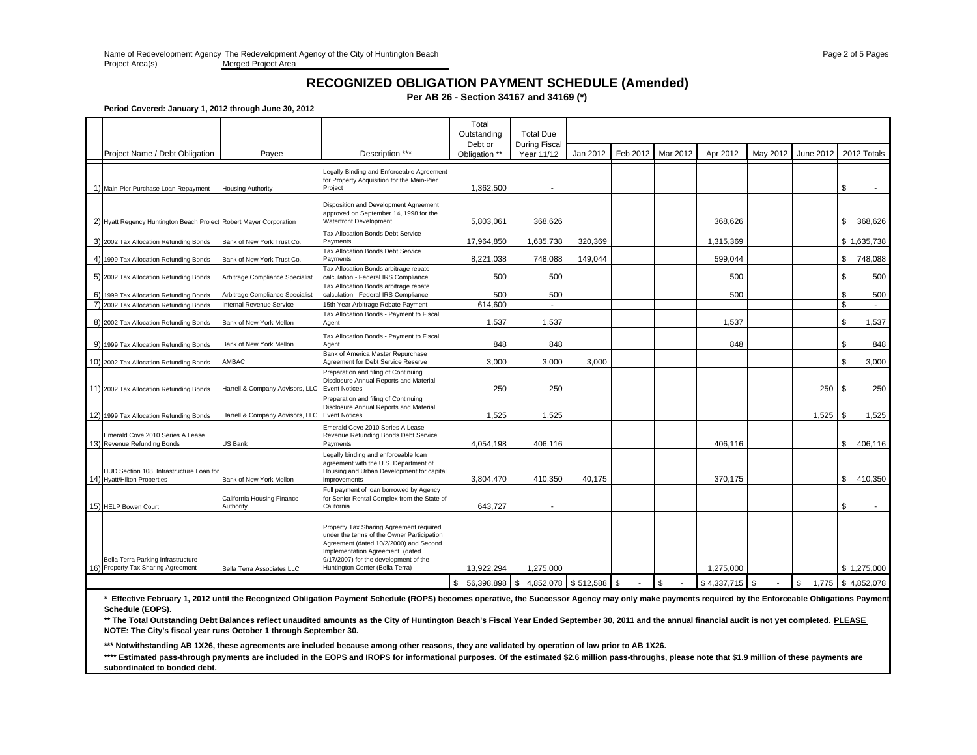Merged Project Area

# **RECOGNIZED OBLIGATION PAYMENT SCHEDULE (Amended)**

#### **Per AB 26 - Section 34167 and 34169 (\*)**

**Period Covered: January 1, 2012 through June 30, 2012**

|  |                                                                          |                                         |                                                                                                                                                                                                                                                | Total<br>Outstanding     |       | <b>Total Due</b>                    |          |          |                |                  |          |           |                   |
|--|--------------------------------------------------------------------------|-----------------------------------------|------------------------------------------------------------------------------------------------------------------------------------------------------------------------------------------------------------------------------------------------|--------------------------|-------|-------------------------------------|----------|----------|----------------|------------------|----------|-----------|-------------------|
|  | Project Name / Debt Obligation                                           | Payee                                   | Description ***                                                                                                                                                                                                                                | Debt or<br>Obligation ** |       | <b>During Fiscal</b><br>Year 11/12  | Jan 2012 | Feb 2012 | Mar 2012       | Apr 2012         | May 2012 | June 2012 | 2012 Totals       |
|  | 1) Main-Pier Purchase Loan Repayment                                     | <b>Housing Authority</b>                | Legally Binding and Enforceable Agreement<br>for Property Acquisition for the Main-Pier<br>Project                                                                                                                                             | 1,362,500                |       |                                     |          |          |                |                  |          |           | \$                |
|  | 2) Hyatt Regency Huntington Beach Project Robert Mayer Corporation       |                                         | Disposition and Development Agreement<br>approved on September 14, 1998 for the<br><b>Waterfront Development</b>                                                                                                                               | 5,803,061                |       | 368,626                             |          |          |                | 368.626          |          |           | \$<br>368.626     |
|  | 3) 2002 Tax Allocation Refunding Bonds                                   | Bank of New York Trust Co.              | Tax Allocation Bonds Debt Service<br>Payments                                                                                                                                                                                                  | 17,964,850               |       | 1,635,738                           | 320.369  |          |                | 1,315,369        |          |           | \$1,635,738       |
|  | 4) 1999 Tax Allocation Refunding Bonds                                   | Bank of New York Trust Co.              | Tax Allocation Bonds Debt Service<br>Payments                                                                                                                                                                                                  | 8,221,038                |       | 748,088                             | 149,044  |          |                | 599.044          |          |           | \$<br>748,088     |
|  | 5) 2002 Tax Allocation Refunding Bonds                                   | Arbitrage Compliance Specialist         | Tax Allocation Bonds arbitrage rebate<br>calculation - Federal IRS Compliance                                                                                                                                                                  |                          | 500   | 500                                 |          |          |                | 500              |          |           | \$<br>500         |
|  | 6) 1999 Tax Allocation Refunding Bonds                                   | Arbitrage Compliance Specialist         | Tax Allocation Bonds arbitrage rebate<br>calculation - Federal IRS Compliance                                                                                                                                                                  |                          | 500   | 500                                 |          |          |                | 500              |          |           | \$<br>500         |
|  | 7) 2002 Tax Allocation Refunding Bonds                                   | Internal Revenue Service                | 15th Year Arbitrage Rebate Payment<br>Tax Allocation Bonds - Payment to Fiscal                                                                                                                                                                 | 614.600                  |       |                                     |          |          |                |                  |          |           | \$                |
|  | 8) 2002 Tax Allocation Refunding Bonds                                   | Bank of New York Mellon                 | Agent                                                                                                                                                                                                                                          |                          | 1,537 | 1,537                               |          |          |                | 1,537            |          |           | \$<br>1,537       |
|  | 9) 1999 Tax Allocation Refunding Bonds                                   | Bank of New York Mellon                 | Tax Allocation Bonds - Payment to Fiscal<br>Agent                                                                                                                                                                                              |                          | 848   | 848                                 |          |          |                | 848              |          |           | \$<br>848         |
|  | 10) 2002 Tax Allocation Refunding Bonds                                  | AMBAC                                   | Bank of America Master Repurchase<br>Agreement for Debt Service Reserve                                                                                                                                                                        |                          | 3,000 | 3,000                               | 3,000    |          |                |                  |          |           | \$<br>3,000       |
|  | 11) 2002 Tax Allocation Refunding Bonds                                  | Harrell & Company Advisors, LLC         | Preparation and filing of Continuing<br>Disclosure Annual Reports and Material<br><b>Event Notices</b>                                                                                                                                         |                          | 250   | 250                                 |          |          |                |                  |          | 250       | \$<br>250         |
|  | 12) 1999 Tax Allocation Refunding Bonds                                  | Harrell & Company Advisors, LLC         | Preparation and filing of Continuing<br>Disclosure Annual Reports and Material<br><b>Event Notices</b>                                                                                                                                         |                          | 1.525 | 1,525                               |          |          |                |                  |          | 1,525     | 1,525<br>- \$     |
|  | Emerald Cove 2010 Series A Lease<br>13) Revenue Refunding Bonds          | US Bank                                 | Emerald Cove 2010 Series A Lease<br>Revenue Refunding Bonds Debt Service<br>Payments                                                                                                                                                           | 4,054,198                |       | 406,116                             |          |          |                | 406.116          |          |           | \$<br>406.116     |
|  | HUD Section 108 Infrastructure Loan for<br>14) Hyatt/Hilton Properties   | Bank of New York Mellon                 | Legally binding and enforceable loan<br>agreement with the U.S. Department of<br>Housing and Urban Development for capital<br>improvements                                                                                                     | 3,804,470                |       | 410,350                             | 40,175   |          |                | 370,175          |          |           | \$<br>410,350     |
|  | 15) HELP Bowen Court                                                     | California Housing Finance<br>Authority | Full payment of loan borrowed by Agency<br>for Senior Rental Complex from the State of<br>California                                                                                                                                           | 643,727                  |       |                                     |          |          |                |                  |          |           | \$                |
|  | Bella Terra Parking Infrastructure<br>16) Property Tax Sharing Agreement | Bella Terra Associates LLC              | Property Tax Sharing Agreement required<br>under the terms of the Owner Participation<br>Agreement (dated 10/2/2000) and Second<br>Implementation Agreement (dated<br>9/17/2007) for the development of the<br>Huntington Center (Bella Terra) | 13,922,294               |       | 1,275,000                           |          |          |                | 1,275,000        |          |           | \$1,275,000       |
|  |                                                                          |                                         |                                                                                                                                                                                                                                                |                          |       | 56,398,898 \$4,852,078 \$512,588 \$ |          |          | $\mathfrak{s}$ | $$4,337,715$ \\$ |          | \$        | 1,775 \$4,852,078 |

**\* Effective February 1, 2012 until the Recognized Obligation Payment Schedule (ROPS) becomes operative, the Successor Agency may only make payments required by the Enforceable Obligations Payment Schedule (EOPS).**

\*\* The Total Outstanding Debt Balances reflect unaudited amounts as the City of Huntington Beach's Fiscal Year Ended September 30, 2011 and the annual financial audit is not yet completed. PLEASE **NOTE: The City's fiscal year runs October 1 through September 30.**

**\*\*\* Notwithstanding AB 1X26, these agreements are included because among other reasons, they are validated by operation of law prior to AB 1X26.**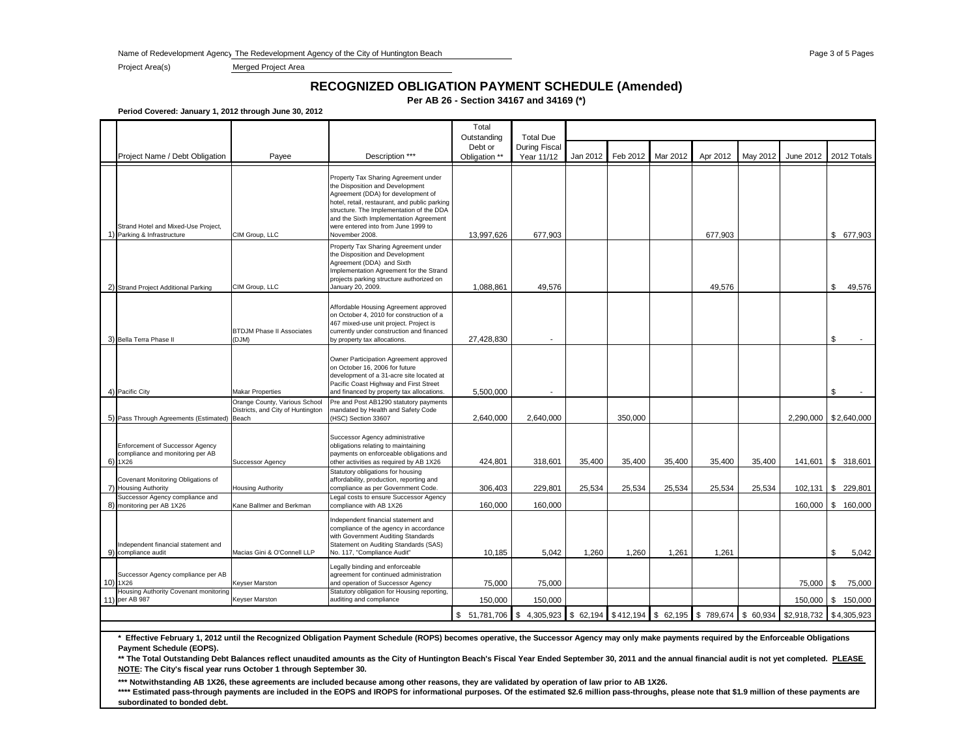Name of Redevelopment Agency The Redevelopment Agency of the City of Huntington Beach Page 3 of 5 Page 3 of 5 Page 3 of 5 Pages

Project Area(s) Merged Project Area

## **RECOGNIZED OBLIGATION PAYMENT SCHEDULE (Amended)**

**Per AB 26 - Section 34167 and 34169 (\*)**

**Period Covered: January 1, 2012 through June 30, 2012**

|    | Project Name / Debt Obligation                                                 | Payee                                                                       | Description ***                                                                                                                                                                                                                                                                                              | Total<br>Outstanding<br>Debt or<br>Obligation ** | <b>Total Due</b><br><b>During Fiscal</b><br>Year 11/12 | Jan 2012 | Feb 2012 | Mar 2012 | Apr 2012                                                 | May 2012 | June 2012   | 2012 Totals             |
|----|--------------------------------------------------------------------------------|-----------------------------------------------------------------------------|--------------------------------------------------------------------------------------------------------------------------------------------------------------------------------------------------------------------------------------------------------------------------------------------------------------|--------------------------------------------------|--------------------------------------------------------|----------|----------|----------|----------------------------------------------------------|----------|-------------|-------------------------|
|    |                                                                                |                                                                             |                                                                                                                                                                                                                                                                                                              |                                                  |                                                        |          |          |          |                                                          |          |             |                         |
| 1) | Strand Hotel and Mixed-Use Project,<br>Parking & Infrastructure                | CIM Group, LLC                                                              | Property Tax Sharing Agreement under<br>the Disposition and Development<br>Agreement (DDA) for development of<br>hotel, retail, restaurant, and public parking<br>structure. The Implementation of the DDA<br>and the Sixth Implementation Agreement<br>were entered into from June 1999 to<br>November 2008 | 13,997,626                                       | 677,903                                                |          |          |          | 677,903                                                  |          |             | \$ 677,903              |
|    | 2) Strand Project Additional Parking                                           | CIM Group, LLC                                                              | Property Tax Sharing Agreement under<br>the Disposition and Development<br>Agreement (DDA) and Sixth<br>Implementation Agreement for the Strand<br>projects parking structure authorized on<br>January 20, 2009.                                                                                             | 1,088,861                                        | 49,576                                                 |          |          |          | 49,576                                                   |          |             | \$<br>49,576            |
|    | 3) Bella Terra Phase II                                                        | <b>BTDJM Phase II Associates</b><br>(DJM)                                   | Affordable Housing Agreement approved<br>on October 4, 2010 for construction of a<br>467 mixed-use unit project. Project is<br>currently under construction and financed<br>by property tax allocations.                                                                                                     | 27,428,830                                       |                                                        |          |          |          |                                                          |          |             | \$                      |
|    | 4) Pacific City                                                                | <b>Makar Properties</b>                                                     | Owner Participation Agreement approved<br>on October 16, 2006 for future<br>development of a 31-acre site located at<br>Pacific Coast Highway and First Street<br>and financed by property tax allocations.                                                                                                  | 5,500,000                                        |                                                        |          |          |          |                                                          |          |             | \$                      |
|    | 5) Pass Through Agreements (Estimated)                                         | Orange County, Various School<br>Districts, and City of Huntington<br>Beach | Pre and Post AB1290 statutory payments<br>mandated by Health and Safety Code<br>(HSC) Section 33607                                                                                                                                                                                                          | 2,640,000                                        | 2,640,000                                              |          | 350,000  |          |                                                          |          |             | 2,290,000   \$2,640,000 |
|    | Enforcement of Successor Agency<br>compliance and monitoring per AB<br>6) 1X26 | <b>Successor Agency</b>                                                     | Successor Agency administrative<br>obligations relating to maintaining<br>payments on enforceable obligations and<br>other activities as required by AB 1X26                                                                                                                                                 | 424,801                                          | 318,601                                                | 35,400   | 35,400   | 35,400   | 35,400                                                   | 35,400   | 141,601     | \$318,601               |
|    | Covenant Monitoring Obligations of<br>7) Housing Authority                     | <b>Housing Authority</b>                                                    | Statutory obligations for housing<br>affordability, production, reporting and<br>compliance as per Government Code.                                                                                                                                                                                          | 306,403                                          | 229,801                                                | 25,534   | 25,534   | 25,534   | 25,534                                                   | 25,534   |             | 102,131 \$ 229,801      |
|    | Successor Agency compliance and<br>8) monitoring per AB 1X26                   | Kane Ballmer and Berkman                                                    | Legal costs to ensure Successor Agency<br>compliance with AB 1X26                                                                                                                                                                                                                                            | 160,000                                          | 160,000                                                |          |          |          |                                                          |          | 160,000     | \$<br>160,000           |
|    | Independent financial statement and<br>9) compliance audit                     | Macias Gini & O'Connell LLP                                                 | Independent financial statement and<br>compliance of the agency in accordance<br>with Government Auditing Standards<br>Statement on Auditing Standards (SAS)<br>No. 117, "Compliance Audit"                                                                                                                  | 10,185                                           | 5,042                                                  | 1,260    | 1,260    | 1,261    | 1,261                                                    |          |             | \$<br>5,042             |
|    | Successor Agency compliance per AB<br>10) 1X26                                 | <b>Keyser Marston</b>                                                       | Legally binding and enforceable<br>agreement for continued administration<br>and operation of Successor Agency                                                                                                                                                                                               | 75,000                                           | 75,000                                                 |          |          |          |                                                          |          | 75,000      | <b>S</b><br>75,000      |
|    | Housing Authority Covenant monitoring<br>11) per AB 987                        | <b>Keyser Marston</b>                                                       | Statutory obligation for Housing reporting,<br>auditing and compliance                                                                                                                                                                                                                                       | 150,000                                          | 150,000                                                |          |          |          |                                                          |          | 150,000     | \$ 150,000              |
|    |                                                                                |                                                                             |                                                                                                                                                                                                                                                                                                              | \$ 51,781,706                                    | \$                                                     |          |          |          | 4,305,923 \$62,194 \$412,194 \$62,195 \$789,674 \$60,934 |          | \$2,918,732 | \$4,305,923             |

**\* Effective February 1, 2012 until the Recognized Obligation Payment Schedule (ROPS) becomes operative, the Successor Agency may only make payments required by the Enforceable Obligations Payment Schedule (EOPS).**

**\*\* The Total Outstanding Debt Balances reflect unaudited amounts as the City of Huntington Beach's Fiscal Year Ended September 30, 2011 and the annual financial audit is not yet completed. PLEASE NOTE: The City's fiscal year runs October 1 through September 30.**

**\*\*\* Notwithstanding AB 1X26, these agreements are included because among other reasons, they are validated by operation of law prior to AB 1X26.**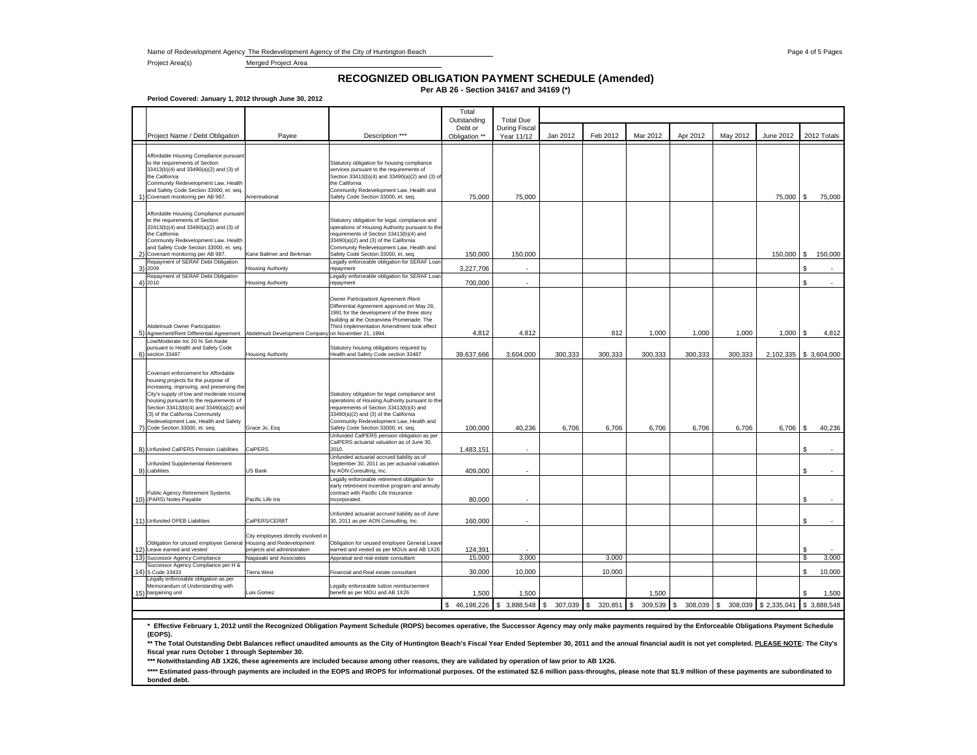Name of Redevelopment Agency The Redevelopment Agency of the City of Huntington Beach Page 4 of 5 Page 4 of 5 Pages 4 of 5 Pages

Project Area(s) Merged Project Area

### **Per AB 26 - Section 34167 and 34169 (\*) RECOGNIZED OBLIGATION PAYMENT SCHEDULE (Amended)**

**Period Covered: January 1, 2012 through June 30, 2012**

|              |                                                                                                                                                                                                                                                                                                                                      |                                                                    |                                                                                                                                                                                                                                                                         | Total<br>Outstanding     | <b>Total Due</b>            |                         |                         |               |              |                                 |                        |              |         |
|--------------|--------------------------------------------------------------------------------------------------------------------------------------------------------------------------------------------------------------------------------------------------------------------------------------------------------------------------------------|--------------------------------------------------------------------|-------------------------------------------------------------------------------------------------------------------------------------------------------------------------------------------------------------------------------------------------------------------------|--------------------------|-----------------------------|-------------------------|-------------------------|---------------|--------------|---------------------------------|------------------------|--------------|---------|
|              | Project Name / Debt Obligation                                                                                                                                                                                                                                                                                                       | Payee                                                              | Description ***                                                                                                                                                                                                                                                         | Debt or<br>Obligation ** | During Fiscal<br>Year 11/12 | Jan 2012                | Feb 2012                | Mar 2012      | Apr 2012     | May 2012                        | June 2012              | 2012 Totals  |         |
|              | Affordable Housing Compliance pursuant<br>to the requirements of Section<br>33413(b)(4) and 33490(a)(2) and (3) of<br>the California<br>Community Redevelopment Law, Health<br>and Safety Code Section 33000, et. seq.<br>Covenant monitoring per AB 987.                                                                            | Amerinational                                                      | Statutory obligation for housing compliance<br>services pursuant to the requirements of<br>Section 33413(b)(4) and 33490(a)(2) and (3) of<br>the California<br>Community Redevelopment Law, Health and<br>Safety Code Section 33000, et. seq.                           | 75,000                   | 75,000                      |                         |                         |               |              |                                 | 75,000                 | S            | 75,000  |
| $\mathbf{2}$ | Affordable Housing Compliance pursuant<br>to the requirements of Section<br>33413(b)(4) and 33490(a)(2) and (3) of<br>the California<br>Community Redevelopment Law, Health<br>and Safety Code Section 33000, et. seg.<br>Covenant monitoring per AB 987.                                                                            | Kane Ballmer and Berkman                                           | Statutory obligation for legal, compliance and<br>operations of Housing Authority pursuant to the<br>requirements of Section 33413(b)(4) and<br>33490(a)(2) and (3) of the California<br>Community Redevelopment Law, Health and<br>Safety Code Section 33000, et. seq. | 150,000                  | 150,000                     |                         |                         |               |              |                                 | 150,000                | $\mathbb{S}$ | 150,000 |
|              | Repayment of SERAF Debt Obligation<br>3) 2009                                                                                                                                                                                                                                                                                        | <b>Housing Authority</b>                                           | Legally enforceable obligation for SERAF Loan<br>repayment                                                                                                                                                                                                              | 3,227,706                |                             |                         |                         |               |              |                                 |                        | S            |         |
|              | Repayment of SERAF Debt Obligation<br>4) 2010                                                                                                                                                                                                                                                                                        | <b>Housing Authority</b>                                           | Legally enforceable obligation for SERAF Loan<br>repayment                                                                                                                                                                                                              | 700,000                  |                             |                         |                         |               |              |                                 |                        | \$.          |         |
|              | Abdelmudi Owner Participation<br>5) Agreement/Rent Differential Agreement Abdelmudi Development Company on November 21, 1994.                                                                                                                                                                                                        |                                                                    | Owner Participationt Agreement /Rent<br>Differential Agreement approved on May 28,<br>1991 for the development of the three story<br>building at the Oceanview Promenade. The<br>Third Implementation Amendment took effect                                             | 4,812                    | 4,812                       |                         | 812                     | 1,000         | 1,000        | 1,000                           | $1,000$ \ \$           |              | 4,812   |
|              | ow/Moderate Inc 20 % Set Aside                                                                                                                                                                                                                                                                                                       |                                                                    |                                                                                                                                                                                                                                                                         |                          |                             |                         |                         |               |              |                                 |                        |              |         |
| 6)           | pursuant to Health and Safety Code<br>section 33487                                                                                                                                                                                                                                                                                  | <b>Housing Authority</b>                                           | Statutory housing obligations required by<br>Health and Safety Code section 33487                                                                                                                                                                                       | 39,637,666               | 3,604,000                   | 300,333                 | 300,333                 | 300,333       | 300,333      | 300,333                         | 2,102,335 \$ 3,604,000 |              |         |
|              | Covenant enforcement for Affordable<br>housing projects for the purpose of<br>increasing, improving, and preserving the<br>City's supply of low and moderate income<br>housing pursuant to the requirements of<br>Section 33413(b)(4) and 33490(a)(2) and<br>(3) of the California Community<br>Redevelopment Law, Health and Safety |                                                                    | Statutory obligation for legal compliance and<br>operations of Housing Authority pursuant to the<br>requirements of Section 33413(b)(4) and<br>33490(a)(2) and (3) of the California<br>Community Redevelopment Law, Health and                                         |                          |                             |                         |                         |               |              |                                 |                        |              |         |
| 7)           | Code Section 33000, et. seq.                                                                                                                                                                                                                                                                                                         | Grace Jo, Esq                                                      | Safety Code Section 33000, et. seq.<br>Unfunded CalPERS pension obligation as per                                                                                                                                                                                       | 100,000                  | 40,236                      | 6,706                   | 6,706                   | 6,706         | 6,706        | 6,706                           | 6,706                  | s            | 40,236  |
|              | 8) Unfunded CalPERS Pension Liabilities                                                                                                                                                                                                                                                                                              | CalPERS                                                            | CalPERS actuarial valuation as of June 30,<br>2010.                                                                                                                                                                                                                     | 1,483,151                | ÷.                          |                         |                         |               |              |                                 |                        | £.           |         |
| 9)           | Unfunded Supplemental Retirement<br>Liabilities                                                                                                                                                                                                                                                                                      | US Bank                                                            | Unfunded actuarial accrued liability as of<br>September 30, 2011 as per actuarial valuation<br>by AON Consulting, Inc.                                                                                                                                                  | 409,000                  |                             |                         |                         |               |              |                                 |                        | \$           |         |
|              | Public Agency Retirement Systems                                                                                                                                                                                                                                                                                                     |                                                                    | Legally enforceable retirement obligation for<br>early retirement incentive program and annuity<br>contract with Pacific Life Insurance                                                                                                                                 |                          |                             |                         |                         |               |              |                                 |                        |              |         |
|              | 10) (PARS) Notes Payable                                                                                                                                                                                                                                                                                                             | Pacific Life Ins                                                   | Incorporated.                                                                                                                                                                                                                                                           | 80,000                   |                             |                         |                         |               |              |                                 |                        | \$           |         |
|              | 11) Unfunded OPEB Liabilities                                                                                                                                                                                                                                                                                                        | CalPERS/CERBT                                                      | Unfunded actuarial accrued liability as of June<br>30, 2011 as per AON Consulting, Inc.                                                                                                                                                                                 | 160,000                  |                             |                         |                         |               |              |                                 |                        | S            |         |
| 12)          | Obligation for unused employee General Housing and Redevelopment<br>Leave earned and vested                                                                                                                                                                                                                                          | City employees directly involved ir<br>projects and administration | Obligation for unused employee General Leave<br>earned and vested as per MOUs and AB 1X26                                                                                                                                                                               | 124,391                  |                             |                         |                         |               |              |                                 |                        | S            |         |
| 13)          | Successor Agency Compliance<br>Successor Agency Compliance per H &                                                                                                                                                                                                                                                                   | Nagasaki and Associates                                            | Appraisal and real estate consultant                                                                                                                                                                                                                                    | 15,000                   | 3,000                       |                         | 3,000                   |               |              |                                 |                        | \$           | 3,000   |
|              | 14) S Code 33433<br>egally enforceable obligation as per                                                                                                                                                                                                                                                                             | <b>Tierra West</b>                                                 | Financial and Real estate consultant                                                                                                                                                                                                                                    | 30,000                   | 10,000                      |                         | 10,000                  |               |              |                                 |                        | \$           | 10,000  |
| 15)          | Memorandum of Understanding with<br>bargaining unit                                                                                                                                                                                                                                                                                  | uis Gomez                                                          | Legally enforceable tuition reimbursement<br>benefit as per MOU and AB 1X26                                                                                                                                                                                             | 1,500                    | 1,500                       |                         |                         | 1,500         |              |                                 |                        | \$           | 1,500   |
|              |                                                                                                                                                                                                                                                                                                                                      |                                                                    |                                                                                                                                                                                                                                                                         |                          | \$46,198,226 \$3,888,548    | $\mathbf{s}$<br>307,039 | $\mathbf{s}$<br>320,851 | 309,539<br>s. | $\mathbf{s}$ | 308,039 \$ 308,039 \$ 2,335,041 |                        | \$3,888,548  |         |

**\* Effective February 1, 2012 until the Recognized Obligation Payment Schedule (ROPS) becomes operative, the Successor Agency may only make payments required by the Enforceable Obligations Payment Schedule** 

(EOPS).<br>\*\* The Total Outstanding Debt Balances reflect unaudited amounts as the City of Huntington Beach's Fiscal Year Ended September 30, 2011 and the annual financial audit is not yet completed. <u>PLEASE NOTE</u>: The City's **fiscal year runs October 1 through September 30.**

**\*\*\* Notwithstanding AB 1X26, these agreements are included because among other reasons, they are validated by operation of law prior to AB 1X26.**